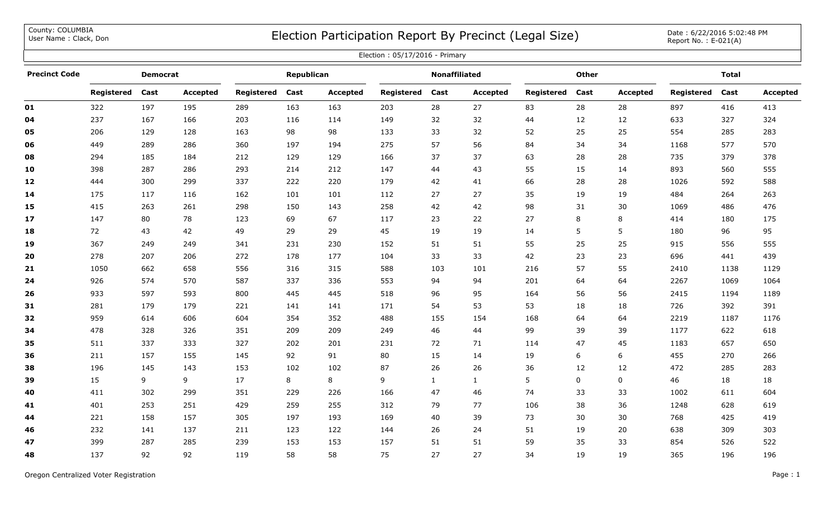County: COLUMBIA<br>User Name: Clack, Don

## COUNTY: COLUMBIA<br>User Name : Clack, Don Date : 6/22/2016 5:02:48 PM

| Election: 05/17/2016 - Primary |                 |      |                 |                   |      |                 |                      |              |                 |              |      |                 |              |      |          |
|--------------------------------|-----------------|------|-----------------|-------------------|------|-----------------|----------------------|--------------|-----------------|--------------|------|-----------------|--------------|------|----------|
| <b>Precinct Code</b>           | <b>Democrat</b> |      |                 | Republican        |      |                 | <b>Nonaffiliated</b> |              |                 | <b>Other</b> |      |                 | <b>Total</b> |      |          |
|                                | Registered      | Cast | <b>Accepted</b> | <b>Registered</b> | Cast | <b>Accepted</b> | Registered           | Cast         | <b>Accepted</b> | Registered   | Cast | <b>Accepted</b> | Registered   | Cast | Accepted |
| 01                             | 322             | 197  | 195             | 289               | 163  | 163             | 203                  | 28           | 27              | 83           | 28   | 28              | 897          | 416  | 413      |
| 04                             | 237             | 167  | 166             | 203               | 116  | 114             | 149                  | 32           | 32              | 44           | 12   | 12              | 633          | 327  | 324      |
| 05                             | 206             | 129  | 128             | 163               | 98   | 98              | 133                  | 33           | 32              | 52           | 25   | 25              | 554          | 285  | 283      |
| 06                             | 449             | 289  | 286             | 360               | 197  | 194             | 275                  | 57           | 56              | 84           | 34   | 34              | 1168         | 577  | 570      |
| 08                             | 294             | 185  | 184             | 212               | 129  | 129             | 166                  | 37           | 37              | 63           | 28   | 28              | 735          | 379  | 378      |
| 10                             | 398             | 287  | 286             | 293               | 214  | 212             | 147                  | 44           | 43              | 55           | 15   | 14              | 893          | 560  | 555      |
| 12                             | 444             | 300  | 299             | 337               | 222  | 220             | 179                  | 42           | 41              | 66           | 28   | 28              | 1026         | 592  | 588      |
| 14                             | 175             | 117  | 116             | 162               | 101  | 101             | 112                  | 27           | 27              | 35           | 19   | 19              | 484          | 264  | 263      |
| 15                             | 415             | 263  | 261             | 298               | 150  | 143             | 258                  | 42           | 42              | 98           | 31   | 30              | 1069         | 486  | 476      |
| 17                             | 147             | 80   | 78              | 123               | 69   | 67              | 117                  | 23           | 22              | 27           | 8    | 8               | 414          | 180  | 175      |
| 18                             | 72              | 43   | 42              | 49                | 29   | 29              | 45                   | 19           | 19              | 14           | 5    | 5               | 180          | 96   | 95       |
| 19                             | 367             | 249  | 249             | 341               | 231  | 230             | 152                  | 51           | 51              | 55           | 25   | 25              | 915          | 556  | 555      |
| 20                             | 278             | 207  | 206             | 272               | 178  | 177             | 104                  | 33           | 33              | 42           | 23   | 23              | 696          | 441  | 439      |
| $21$                           | 1050            | 662  | 658             | 556               | 316  | 315             | 588                  | 103          | 101             | 216          | 57   | 55              | 2410         | 1138 | 1129     |
| 24                             | 926             | 574  | 570             | 587               | 337  | 336             | 553                  | 94           | 94              | 201          | 64   | 64              | 2267         | 1069 | 1064     |
| 26                             | 933             | 597  | 593             | 800               | 445  | 445             | 518                  | 96           | 95              | 164          | 56   | 56              | 2415         | 1194 | 1189     |
| 31                             | 281             | 179  | 179             | 221               | 141  | 141             | 171                  | 54           | 53              | 53           | 18   | 18              | 726          | 392  | 391      |
| 32                             | 959             | 614  | 606             | 604               | 354  | 352             | 488                  | 155          | 154             | 168          | 64   | 64              | 2219         | 1187 | 1176     |
| 34                             | 478             | 328  | 326             | 351               | 209  | 209             | 249                  | 46           | 44              | 99           | 39   | 39              | 1177         | 622  | 618      |
| 35                             | 511             | 337  | 333             | 327               | 202  | 201             | 231                  | 72           | 71              | 114          | 47   | 45              | 1183         | 657  | 650      |
| 36                             | 211             | 157  | 155             | 145               | 92   | 91              | 80                   | 15           | 14              | 19           | 6    | 6               | 455          | 270  | 266      |
| 38                             | 196             | 145  | 143             | 153               | 102  | 102             | 87                   | 26           | 26              | 36           | 12   | 12              | 472          | 285  | 283      |
| 39                             | 15              | 9    | 9               | 17                | 8    | 8               | 9                    | $\mathbf{1}$ | $\mathbf{1}$    | 5            | 0    | $\mathbf 0$     | 46           | 18   | 18       |
| 40                             | 411             | 302  | 299             | 351               | 229  | 226             | 166                  | 47           | 46              | 74           | 33   | 33              | 1002         | 611  | 604      |
| 41                             | 401             | 253  | 251             | 429               | 259  | 255             | 312                  | 79           | 77              | 106          | 38   | 36              | 1248         | 628  | 619      |
| 44                             | 221             | 158  | 157             | 305               | 197  | 193             | 169                  | 40           | 39              | 73           | 30   | 30              | 768          | 425  | 419      |
| 46                             | 232             | 141  | 137             | 211               | 123  | 122             | 144                  | 26           | 24              | 51           | 19   | 20              | 638          | 309  | 303      |
| 47                             | 399             | 287  | 285             | 239               | 153  | 153             | 157                  | 51           | 51              | 59           | 35   | 33              | 854          | 526  | 522      |
| 48                             | 137             | 92   | 92              | 119               | 58   | 58              | 75                   | 27           | 27              | 34           | 19   | 19              | 365          | 196  | 196      |